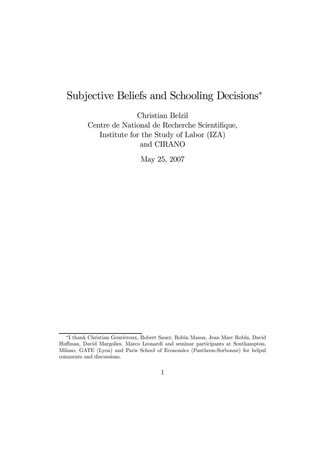# Subjective Beliefs and Schooling Decisions<sup>∗</sup>

Christian Belzil Centre de National de Recherche Scientifique, Institute for the Study of Labor (IZA) and CIRANO

May 25, 2007

<sup>∗</sup>I thank Christian Gourieroux, Robert Sauer, Robin Mason, Jean Marc Robin, David Huffman, David Margolies, Marco Leonardi and seminar participants at Southampton, Milano, GATE (Lyon) and Paris School of Economics (Pantheon-Sorbonne) for helpul comments and discussions.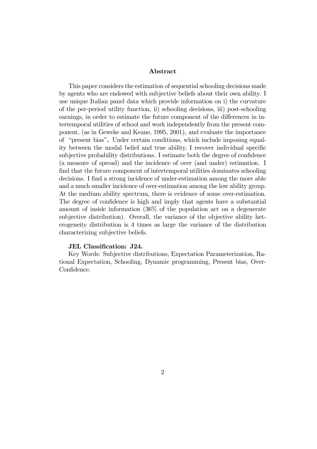#### Abstract

This paper considers the estimation of sequential schooling decisions made by agents who are endowed with subjective beliefs about their own ability. I use unique Italian panel data which provide information on i) the curvature of the per-period utility function, ii) schooling decisions, iii) post-schooling earnings, in order to estimate the future component of the differences in intertemporal utilities of school and work independently from the present component, (as in Geweke and Keane, 1995, 2001), and evaluate the importance of "present bias". Under certain conditions, which include imposing equality between the modal belief and true ability, I recover individual specific subjective probability distributions. I estimate both the degree of confidence (a measure of spread) and the incidence of over (and under) estimation. I find that the future component of intertemporal utilities dominates schooling decisions. I find a strong incidence of under-estimation among the more able and a much smaller incidence of over-estimation among the low ability group. At the medium ability spectrum, there is evidence of some over-estimation. The degree of confidence is high and imply that agents have a substantial amount of inside information (36% of the population act on a degenerate subjective distribution). Overall, the variance of the objective ability heterogeneity distribution is 4 times as large the variance of the distribution characterizing subjective beliefs.

#### JEL Classification: J24.

Key Words: Subjective distributions, Expectation Parameterization, Rational Expectation, Schooling, Dynamic programming, Present bias, Over-Confidence.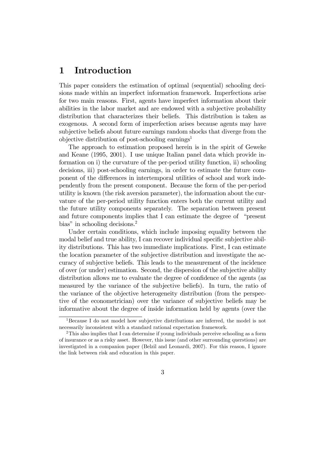## 1 Introduction

This paper considers the estimation of optimal (sequential) schooling decisions made within an imperfect information framework. Imperfections arise for two main reasons. First, agents have imperfect information about their abilities in the labor market and are endowed with a subjective probability distribution that characterizes their beliefs. This distribution is taken as exogenous. A second form of imperfection arises because agents may have subjective beliefs about future earnings random shocks that diverge from the objective distribution of post-schooling earnings<sup>1</sup>

The approach to estimation proposed herein is in the spirit of Geweke and Keane (1995, 2001). I use unique Italian panel data which provide information on i) the curvature of the per-period utility function, ii) schooling decisions, iii) post-schooling earnings, in order to estimate the future component of the differences in intertemporal utilities of school and work independently from the present component. Because the form of the per-period utility is known (the risk aversion parameter), the information about the curvature of the per-period utility function enters both the current utility and the future utility components separately. The separation between present and future components implies that I can estimate the degree of "present bias" in schooling decisions.2

Under certain conditions, which include imposing equality between the modal belief and true ability, I can recover individual specific subjective ability distributions. This has two immediate implications. First, I can estimate the location parameter of the subjective distribution and investigate the accuracy of subjective beliefs. This leads to the measurement of the incidence of over (or under) estimation. Second, the dispersion of the subjective ability distribution allows me to evaluate the degree of confidence of the agents (as measured by the variance of the subjective beliefs). In turn, the ratio of the variance of the objective heterogeneity distribution (from the perspective of the econometrician) over the variance of subjective beliefs may be informative about the degree of inside information held by agents (over the

<sup>&</sup>lt;sup>1</sup>Because I do not model how subjective distributions are inferred, the model is not necessarily inconsistent with a standard rational expectation framework.

<sup>&</sup>lt;sup>2</sup>This also implies that I can determine if young individuals perceive schooling as a form of insurance or as a risky asset. However, this issue (and other surrounding querstions) are investigated in a companion paper (Belzil and Leonardi, 2007). For this reason, I ignore the link between risk and education in this paper.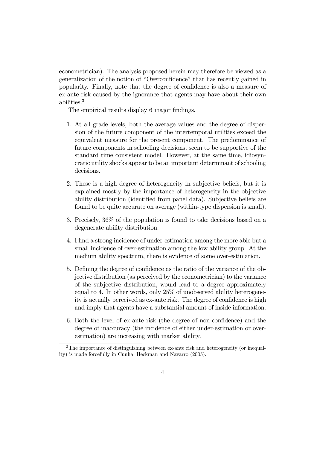econometrician). The analysis proposed herein may therefore be viewed as a generalization of the notion of "Overconfidence" that has recently gained in popularity. Finally, note that the degree of confidence is also a measure of ex-ante risk caused by the ignorance that agents may have about their own abilities.3

The empirical results display 6 major findings.

- 1. At all grade levels, both the average values and the degree of dispersion of the future component of the intertemporal utilities exceed the equivalent measure for the present component. The predominance of future components in schooling decisions, seem to be supportive of the standard time consistent model. However, at the same time, idiosyncratic utility shocks appear to be an important determinant of schooling decisions.
- 2. These is a high degree of heterogeneity in subjective beliefs, but it is explained mostly by the importance of heterogeneity in the objective ability distribution (identified from panel data). Subjective beliefs are found to be quite accurate on average (within-type dispersion is small).
- 3. Precisely, 36% of the population is found to take decisions based on a degenerate ability distribution.
- 4. I find a strong incidence of under-estimation among the more able but a small incidence of over-estimation among the low ability group. At the medium ability spectrum, there is evidence of some over-estimation.
- 5. Defining the degree of confidence as the ratio of the variance of the objective distribution (as perceived by the econometrician) to the variance of the subjective distribution, would lead to a degree approximately equal to 4. In other words, only 25% of unobserved ability heterogeneity is actually perceived as ex-ante risk. The degree of confidence is high and imply that agents have a substantial amount of inside information.
- 6. Both the level of ex-ante risk (the degree of non-confidence) and the degree of inaccuracy (the incidence of either under-estimation or overestimation) are increasing with market ability.

<sup>3</sup>The importance of distinguishing between ex-ante risk and heterogeneity (or inequality) is made forcefully in Cunha, Heckman and Navarro (2005).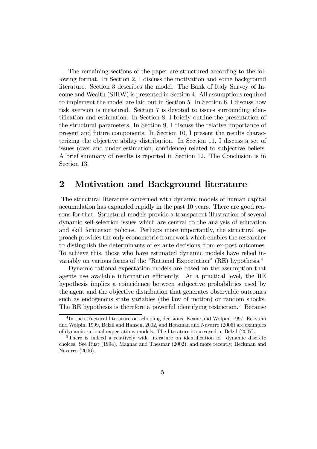The remaining sections of the paper are structured according to the following format. In Section 2, I discuss the motivation and some background literature. Section 3 describes the model. The Bank of Italy Survey of Income and Wealth (SHIW) is presented in Section 4. All assumptions required to implement the model are laid out in Section 5. In Section 6, I discuss how risk aversion is measured. Section 7 is devoted to issues surrounding identification and estimation. In Section 8, I briefly outline the presentation of the structural parameters. In Section 9, I discuss the relative importance of present and future components. In Section 10, I present the results characterizing the objective ability distribution. In Section 11, I discuss a set of issues (over and under estimation, confidence) related to subjective beliefs. A brief summary of results is reported in Section 12. The Conclusion is in Section 13.

## 2 Motivation and Background literature

The structural literature concerned with dynamic models of human capital accumulation has expanded rapidly in the past 10 years. There are good reasons for that. Structural models provide a transparent illustration of several dynamic self-selection issues which are central to the analysis of education and skill formation policies. Perhaps more importantly, the structural approach provides the only econometric framework which enables the researcher to distinguish the determinants of ex ante decisions from ex-post outcomes. To achieve this, those who have estimated dynamic models have relied invariably on various forms of the "Rational Expectation" (RE) hypothesis.4

Dynamic rational expectation models are based on the assumption that agents use available information efficiently. At a practical level, the RE hypothesis implies a coincidence between subjective probabilities used by the agent and the objective distribution that generates observable outcomes such as endogenous state variables (the law of motion) or random shocks. The RE hypothesis is therefore a powerful identifying restriction.<sup>5</sup> Because

<sup>&</sup>lt;sup>4</sup>In the structural literature on schooling decisions, Keane and Wolpin, 1997, Eckstein and Wolpin, 1999, Belzil and Hansen, 2002, and Heckman and Navarro (2006) are examples of dynamic rational expectations models. The literature is surveyed in Belzil (2007).

<sup>&</sup>lt;sup>5</sup>There is indeed a relatively wide literature on identification of dynamic discrete choices. See Rust (1994), Magnac and Thesmar (2002), and more recently, Heckman and Navarro (2006).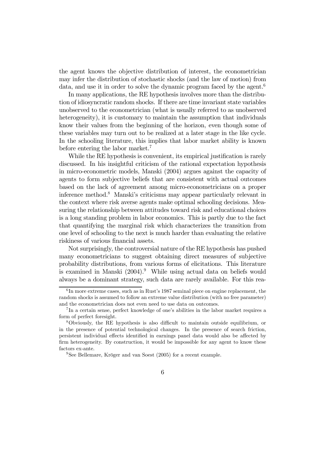the agent knows the objective distribution of interest, the econometrician may infer the distribution of stochastic shocks (and the law of motion) from data, and use it in order to solve the dynamic program faced by the agent.<sup>6</sup>

In many applications, the RE hypothesis involves more than the distribution of idiosyncratic random shocks. If there are time invariant state variables unobserved to the econometrician (what is usually referred to as unobserved heterogeneity), it is customary to maintain the assumption that individuals know their values from the beginning of the horizon, even though some of these variables may turn out to be realized at a later stage in the like cycle. In the schooling literature, this implies that labor market ability is known before entering the labor market.<sup>7</sup>

While the RE hypothesis is convenient, its empirical justification is rarely discussed. In his insightful criticism of the rational expectation hypothesis in micro-econometric models, Manski (2004) argues against the capacity of agents to form subjective beliefs that are consistent with actual outcomes based on the lack of agreement among micro-econometricians on a proper inference method.<sup>8</sup> Manski's criticisms may appear particularly relevant in the context where risk averse agents make optimal schooling decisions. Measuring the relationship between attitudes toward risk and educational choices is a long standing problem in labor economics. This is partly due to the fact that quantifying the marginal risk which characterizes the transition from one level of schooling to the next is much harder than evaluating the relative riskiness of various financial assets.

Not surprisingly, the controversial nature of the RE hypothesis has pushed many econometricians to suggest obtaining direct measures of subjective probability distributions, from various forms of elicitations. This literature is examined in Manski (2004).9 While using actual data on beliefs would always be a dominant strategy, such data are rarely available. For this rea-

 ${}^{6}$ In more extreme cases, such as in Rust's 1987 seminal piece on engine replacement, the random shocks is assumed to follow an extreme value distribution (with no free parameter) and the econometrician does not even need to use data on outcomes.

<sup>7</sup> In a certain sense, perfect knowledge of one's abilities in the labor market requires a form of perfect foresight.

<sup>8</sup>Obviously, the RE hypothesis is also difficult to maintain outside equilibrium, or in the presence of potential technological changes. In the presence of search friction, persistent individual effects identified in earnings panel data would also be affected by firm heterogeneity. By construction, it would be impossible for any agent to know these factors ex-ante.

<sup>9</sup>See Bellemare, Kröger and van Soest (2005) for a recent example.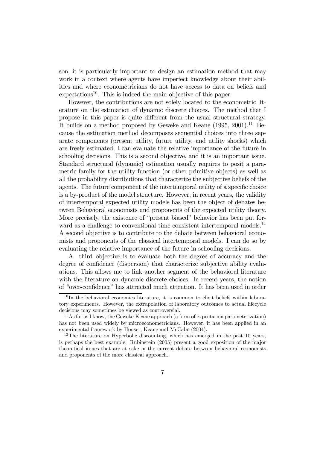son, it is particularly important to design an estimation method that may work in a context where agents have imperfect knowledge about their abilities and where econometricians do not have access to data on beliefs and  $e$ xpectations<sup>10</sup>. This is indeed the main objective of this paper.

However, the contributions are not solely located to the econometric literature on the estimation of dynamic discrete choices. The method that I propose in this paper is quite different from the usual structural strategy. It builds on a method proposed by Geweke and Keane  $(1995, 2001).$ <sup>11</sup> Because the estimation method decomposes sequential choices into three separate components (present utility, future utility, and utility shocks) which are freely estimated, I can evaluate the relative importance of the future in schooling decisions. This is a second objective, and it is an important issue. Standard structural (dynamic) estimation usually requires to posit a parametric family for the utility function (or other primitive objects) as well as all the probability distributions that characterize the subjective beliefs of the agents. The future component of the intertemporal utility of a specific choice is a by-product of the model structure. However, in recent years, the validity of intertemporal expected utility models has been the object of debates between Behavioral economists and proponents of the expected utility theory. More precisely, the existence of "present biased" behavior has been put forward as a challenge to conventional time consistent intertemporal models.<sup>12</sup> A second objective is to contribute to the debate between behavioral economists and proponents of the classical intertemporal models. I can do so by evaluating the relative importance of the future in schooling decisions.

A third objective is to evaluate both the degree of accuracy and the degree of confidence (dispersion) that characterize subjective ability evaluations. This allows me to link another segment of the behavioral literature with the literature on dynamic discrete choices. In recent years, the notion of "over-confidence" has attracted much attention. It has been used in order

 $10$ In the behavioral economics literature, it is common to elicit beliefs within laboratory experiments. However, the extrapolation of laboratory outcomes to actual lifecycle decisions may sometimes be viewed as controversial.

<sup>11</sup>As far as I know, the Geweke-Keane approach (a form of expectation parameterization) has not been used widely by microeconometricians. However, it has been applied in an experimental framework by Houser, Keane and McCabe (2004).

 $12$ The literature on Hyperbolic discounting, which has emerged in the past 10 years, is perhaps the best example. Rubinstein (2005) present a good exposition of the major theoretical issues that are at sake in the current debate between behavioral economists and proponents of the more classical approach.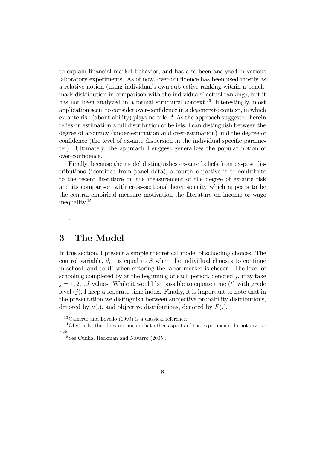to explain financial market behavior, and has also been analyzed in various laboratory experiments. As of now, over-confidence has been used mostly as a relative notion (using individual's own subjective ranking within a benchmark distribution in comparison with the individuals' actual ranking), but it has not been analyzed in a formal structural context.<sup>13</sup> Interestingly, most application seem to consider over-confidence in a degenerate context, in which ex-ante risk (about ability) plays no role.<sup>14</sup> As the approach suggested herein relies on estimation a full distribution of beliefs, I can distinguish between the degree of accuracy (under-estimation and over-estimation) and the degree of confidence (the level of ex-ante dispersion in the individual specific parameter). Ultimately, the approach I suggest generalizes the popular notion of over-confidence.

Finally, because the model distinguishes ex-ante beliefs from ex-post distributions (identified from panel data), a fourth objective is to contribute to the recent literature on the measurement of the degree of ex-ante risk and its comparison with cross-sectional heterogeneity which appears to be the central empirical measure motivation the literature on income or wage inequality.15

## 3 The Model

.

In this section, I present a simple theoretical model of schooling choices. The control variable,  $d_t$ , is equal to S when the individual chooses to continue in school, and to W when entering the labor market is chosen. The level of schooling completed by at the beginning of each period, denoted  $j$ , may take  $j = 1, 2, \ldots$  values. While it would be possible to equate time (t) with grade level  $(j)$ , I keep a separate time index. Finally, it is important to note that in the presentation we distinguish between subjective probability distributions, denoted by  $\mu(.)$ , and objective distributions, denoted by  $F(.)$ .

<sup>13</sup>Camerer and Lovello (1999) is a classical reference.

<sup>14</sup>Obviously, this does not mean that other aspects of the experiments do not involve risk.

<sup>15</sup>See Cunha, Heckman and Navarro (2005).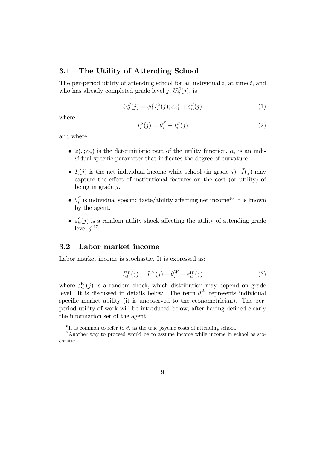#### 3.1 The Utility of Attending School

The per-period utility of attending school for an individual  $i$ , at time  $t$ , and who has already completed grade level j,  $U_{it}^S(j)$ , is

$$
U_{it}^{S}(j) = \phi\{I_{i}^{S}(j); \alpha_{i}\} + \varepsilon_{it}^{S}(j)
$$
\n
$$
\tag{1}
$$

where

$$
I_i^S(j) = \theta_i^S + \bar{I}_i^S(j)
$$
\n<sup>(2)</sup>

and where

- $\phi(.,;\alpha_i)$  is the deterministic part of the utility function,  $\alpha_i$  is an individual specific parameter that indicates the degree of curvature.
- $I_i(j)$  is the net individual income while school (in grade j).  $\bar{I}(j)$  may capture the effect of institutional features on the cost (or utility) of being in grade j.
- $\theta_i^S$  is individual specific taste/ability affecting net income<sup>16</sup> It is known by the agent.
- $\varepsilon_{it}^{S}(j)$  is a random utility shock affecting the utility of attending grade level  $j$ <sup>17</sup>

#### 3.2 Labor market income

Labor market income is stochastic. It is expressed as:

$$
I_{it}^{W}(j) = \overline{I}^{W}(j) + \theta_{i}^{W} + \varepsilon_{it}^{W}(j)
$$
\n(3)

where  $\varepsilon_{it}^{W}(j)$  is a random shock, which distribution may depend on grade level. It is discussed in details below. The term  $\theta_i^W$  represents individual specific market ability (it is unobserved to the econometrician). The perperiod utility of work will be introduced below, after having defined clearly the information set of the agent.

<sup>&</sup>lt;sup>16</sup>It is common to refer to  $\theta_i$  as the true psychic costs of attending school.

<sup>&</sup>lt;sup>17</sup>Another way to proceed would be to assume income while income in school as stochastic.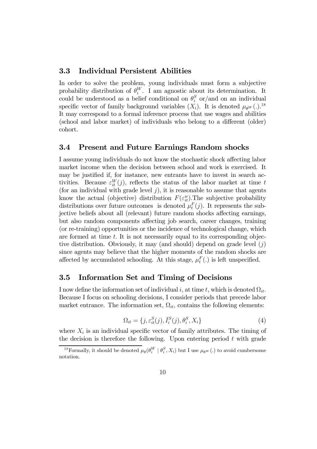#### 3.3 Individual Persistent Abilities

In order to solve the problem, young individuals must form a subjective probability distribution of  $\theta_i^W$ . I am agnostic about its determination. It could be understood as a belief conditional on  $\theta_i^S$  or/and on an individual specific vector of family background variables  $(X_i)$ . It is denoted  $\mu_{\theta^W}(.)^{18}$ It may correspond to a formal inference process that use wages and abilities (school and labor market) of individuals who belong to a different (older) cohort.

#### 3.4 Present and Future Earnings Random shocks

I assume young individuals do not know the stochastic shock affecting labor market income when the decision between school and work is exercised. It may be justified if, for instance, new entrants have to invest in search activities. Because  $\varepsilon_{it}^W(j)$ , reflects the status of the labor market at time t (for an individual with grade level  $j$ ), it is reasonable to assume that agents know the actual (objective) distribution  $F(\varepsilon_{it}^w)$ . The subjective probability distributions over future outcomes is denoted  $\mu_t^F(j)$ . It represents the subjective beliefs about all (relevant) future random shocks affecting earnings, but also random components affecting job search, career changes, training (or re-training) opportunities or the incidence of technological change, which are formed at time  $t$ . It is not necessarily equal to its corresponding objective distribution. Obviously, it may (and should) depend on grade level  $(j)$ since agents may believe that the higher moments of the random shocks are affected by accumulated schooling. At this stage,  $\mu_t^F(.)$  is left unspecified.

#### 3.5 Information Set and Timing of Decisions

I now define the information set of individual i, at time t, which is denoted  $\Omega_{it}$ . Because I focus on schooling decisions, I consider periods that precede labor market entrance. The information set,  $\Omega_{it}$ , contains the following elements:

$$
\Omega_{it} = \{j, \varepsilon_{it}^S(j), \bar{I}_i^S(j), \theta_i^S, X_i\}
$$
\n(4)

where  $X_i$  is an individual specific vector of family attributes. The timing of the decision is therefore the following. Upon entering period  $t$  with grade

<sup>&</sup>lt;sup>18</sup>Formally, it should be denoted  $\mu_{\theta}(\theta_i^W \mid \theta_i^S, X_i)$  but I use  $\mu_{\theta^W}(.)$  to avoid cumbersome notation.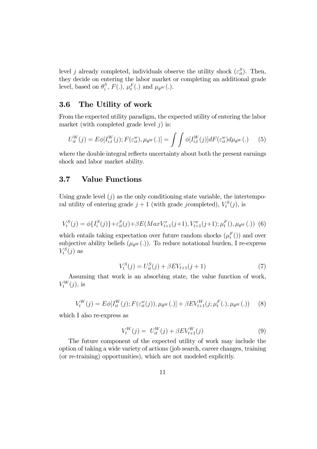level j already completed, individuals observe the utility shock  $(\varepsilon_{it}^S)$ . Then, they decide on entering the labor market or completing an additional grade level, based on  $\theta_i^S$ ,  $F(.)$ ,  $\mu_t^F(.)$  and  $\mu_{\theta^W}(.)$ .

## 3.6 The Utility of work

From the expected utility paradigm, the expected utility of entering the labor market (with completed grade level  $j$ ) is:

$$
U_{it}^W(j) = E\phi[I_{i,t}^W(j); F(\varepsilon_{it}^w), \mu_{\theta^W}(.)] = \int \int \phi[I_{i,t}^W(j)] dF(\varepsilon_{it}^w) d\mu_{\theta^W}(.) \tag{5}
$$

where the double integral reflects uncertainty about both the present earnings shock and labor market ability.

#### 3.7 Value Functions

Using grade level  $(j)$  as the only conditioning state variable, the intertemporal utility of entering grade  $j+1$  (with grade jcompleted),  $V_t^S(j)$ , is

$$
V_t^S(j) = \phi\{I_i^S(j)\} + \varepsilon_{it}^S(j) + \beta E(MaxV_{t+1}^s(j+1), V_{t+1}^w(j+1); \mu_t^F(), \mu_{\theta^W}(.))
$$
 (6)

which entails taking expectation over future random shocks  $(\mu_t^F() )$  and over subjective ability beliefs  $(\mu_{\theta^W}(.))$ . To reduce notational burden, I re-express  $V_t^S(j)$  as

$$
V_t^S(j) = U_{it}^S(j) + \beta EV_{t+1}(j+1)
$$
\n(7)

Assuming that work is an absorbing state, the value function of work,  $V_t^W(j)$ , is

$$
V_t^W(j) = E\phi[I_{it}^W(j); F(\varepsilon_{it}^w(j)), \mu_{\theta^W}(.)] + \beta EV_{t+1}^W(j; \mu_t^F(.), \mu_{\theta^W}(.)) \tag{8}
$$

which I also re-express as

$$
V_t^W(j) = U_{it}^W(j) + \beta EV_{t+1}^W(j)
$$
\n(9)

The future component of the expected utility of work may include the option of taking a wide variety of actions (job search, career changes, training (or re-training) opportunities), which are not modeled explicitly.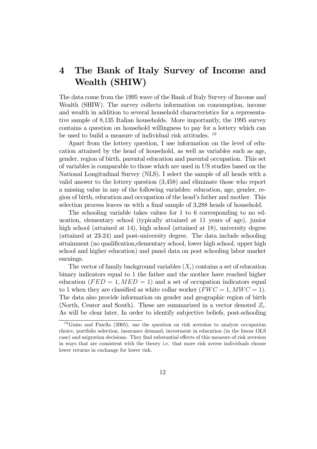# 4 The Bank of Italy Survey of Income and Wealth (SHIW)

The data come from the 1995 wave of the Bank of Italy Survey of Income and Wealth (SHIW). The survey collects information on consumption, income and wealth in addition to several household characteristics for a representative sample of 8,135 Italian households. More importantly, the 1995 survey contains a question on household willingness to pay for a lottery which can be used to build a measure of individual risk attitudes. <sup>19</sup>

Apart from the lottery question, I use information on the level of education attained by the head of household, as well as variables such as age, gender, region of birth, parental education and parental occupation. This set of variables is comparable to those which are used in US studies based on the National Longitudinal Survey (NLS). I select the sample of all heads with a valid answer to the lottery question (3,458) and eliminate those who report a missing value in any of the following variables: education, age, gender, region of birth, education and occupation of the head's father and mother. This selection process leaves us with a final sample of 3,288 heads of household.

The schooling variable takes values for 1 to 6 corresponding to no education, elementary school (typically attained at 11 years of age), junior high school (attained at 14), high school (attained at 18), university degree (attained at 23-24) and post-university degree. The data include schooling attainment (no qualification,elementary school, lower high school, upper high school and higher education) and panel data on post schooling labor market earnings.

The vector of family background variables  $(X_i)$  contains a set of education binary indicators equal to 1 the father and the mother have reached higher education  $(FED = 1, MED = 1)$  and a set of occupation indicators equal to 1 when they are classified as white collar worker  $(FWC = 1, MWC = 1)$ . The data also provide information on gender and geographic region of birth (North, Center and South). These are summarized in a vector denoted  $Z_i$ . As will be clear later, In order to identify subjective beliefs, post-schooling

<sup>19</sup>Guiso and Paiella (2005), use the question on risk aversion to analyze occupation choice, portfolio selection, insurance demand, investment in education (in the linear OLS case) and migration decisions. They find substantial effects of this measure of risk aversion in ways that are consistent with the theory i.e. that more risk averse individuals choose lower returns in exchange for lower risk.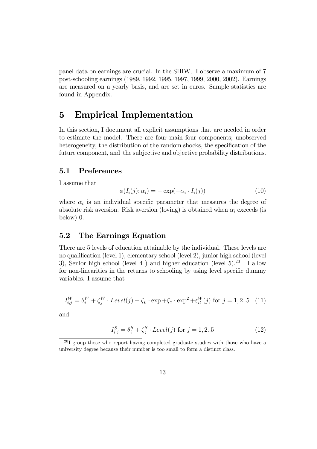panel data on earnings are crucial. In the SHIW, I observe a maximum of 7 post-schooling earnings (1989, 1992, 1995, 1997, 1999, 2000, 2002). Earnings are measured on a yearly basis, and are set in euros. Sample statistics are found in Appendix.

## 5 Empirical Implementation

In this section, I document all explicit assumptions that are needed in order to estimate the model. There are four main four components; unobserved heterogeneity, the distribution of the random shocks, the specification of the future component, and the subjective and objective probability distributions.

#### 5.1 Preferences

I assume that

$$
\phi(I_i(j); \alpha_i) = -\exp(-\alpha_i \cdot I_i(j))\tag{10}
$$

where  $\alpha_i$  is an individual specific parameter that measures the degree of absolute risk aversion. Risk aversion (loving) is obtained when  $\alpha_i$  exceeds (is below) 0.

#### 5.2 The Earnings Equation

There are 5 levels of education attainable by the individual. These levels are no qualification (level 1), elementary school (level 2), junior high school (level 3), Senior high school (level 4) and higher education (level 5).<sup>20</sup> I allow for non-linearities in the returns to schooling by using level specific dummy variables. I assume that

$$
I_{i,j}^{W} = \theta_i^{W} + \zeta_j^{W} \cdot Level(j) + \zeta_6 \cdot \exp(\zeta_7) \cdot \exp^2(\zeta_i^{W}(j)) \text{ for } j = 1, 2..5 \quad (11)
$$

and

$$
I_{i,j}^{S} = \theta_i^{S} + \zeta_j^{S} \cdot Level(j) \text{ for } j = 1, 2..5
$$
 (12)

<sup>&</sup>lt;sup>20</sup>I group those who report having completed graduate studies with those who have a university degree because their number is too small to form a distinct class.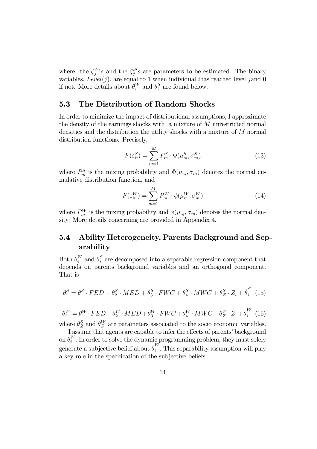where the  $\zeta_j^{W'}s$  and the  $\zeta_j^{S'}s$  are parameters to be estimated. The binary variables,  $Level(j)$ , are equal to 1 when individual *ihas reached level jand* 0 if not. More details about  $\theta_i^W$  and  $\theta_i^S$  are found below.

## 5.3 The Distribution of Random Shocks

In order to minimize the impact of distributional assumptions, I approximate the density of the earnings shocks with a mixture of M unrestricted normal densities and the distribution the utility shocks with a mixture of  $M$  normal distribution functions. Precisely,

$$
F(\varepsilon_{it}^S) = \sum_{m=1}^M P_m^S \cdot \Phi(\mu_m^S, \sigma_m^S). \tag{13}
$$

where  $P_m^S$  is the mixing probability and  $\Phi(\mu_m, \sigma_m)$  denotes the normal cumulative distribution function, and

$$
F(\varepsilon_{it}^W) = \sum_{m=1}^M P_m^W \cdot \phi(\mu_m^W, \sigma_m^W). \tag{14}
$$

where  $P_m^W$  is the mixing probability and  $\phi(\mu_m, \sigma_m)$  denotes the normal density. More details concerning are provided in Appendix 4.

## 5.4 Ability Heterogeneity, Parents Background and Separability

Both  $\theta_i^W$  and  $\theta_i^S$  are decomposed into a separable regression component that depends on parents background variables and an orthogonal component. That is

$$
\theta_i^S = \theta_1^S \cdot FED + \theta_2^S \cdot MED + \theta_3^S \cdot FWC + \theta_4^S \cdot MWC + \theta_2^S \cdot Z_i + \tilde{\theta}_i^S \tag{15}
$$

$$
\theta_i^W = \theta_1^W \cdot FED + \theta_2^W \cdot MED + \theta_3^W \cdot FWC + \theta_4^W \cdot MWC + \theta_2^W \cdot Z_i + \tilde{\theta}_i^W \tag{16}
$$

where  $\theta_Z^S$  and  $\theta_Z^W$  are parameters associated to the socio economic variables. I assume that agents are capable to infer the effects of parents' background

on  $\theta_i^W$ . In order to solve the dynamic programming problem, they must solely generate a subjective belief about  $\tilde{\theta}_i^W$ . This separability assumption will play a key role in the specification of the subjective beliefs.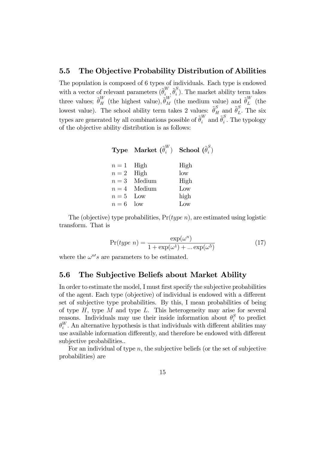#### 5.5 The Objective Probability Distribution of Abilities

The population is composed of 6 types of individuals. Each type is endowed with a vector of relevant parameters  $(\tilde{\theta}_{i...}^{W}, \tilde{\theta}_{i}^{S})$ . The market ability term takes three values;  $\tilde{\theta}_{H}^{W}$  (the highest value),  $\tilde{\theta}_{M}^{W}$  (the medium value) and  $\tilde{\theta}_{L}^{W}$  (the lowest value). The school ability term takes 2 values:  $\tilde{\theta}_H^S$  and  $\tilde{\theta}_L^S$ . The six types are generated by all combinations possible of  $\tilde{\theta}_i^W$  and  $\tilde{\theta}_i^S$ . The typology of the objective ability distribution is as follows:

|            | <b>Type</b> Market $(\tilde{\theta}_i^W)$ <b>School</b> $(\tilde{\theta}_i^S)$ |                 |
|------------|--------------------------------------------------------------------------------|-----------------|
| $n=1$ High |                                                                                | High            |
| $n=2$ High |                                                                                | low             |
|            | $n=3$ Medium                                                                   | High            |
|            | $n=4$ Medium                                                                   | Low             |
| $n=5$ Low  |                                                                                | high            |
| $n=6$ low  |                                                                                | $L_{\text{OW}}$ |

The (objective) type probabilities,  $Pr(type n)$ , are estimated using logistic transform. That is

$$
Pr(type\ n) = \frac{\exp(\omega^n)}{1 + \exp(\omega^1) + \dots \exp(\omega^5)}
$$
(17)

where the  $\omega^{n}$ 's are parameters to be estimated.

#### 5.6 The Subjective Beliefs about Market Ability

In order to estimate the model, I must first specify the subjective probabilities of the agent. Each type (objective) of individual is endowed with a different set of subjective type probabilities. By this, I mean probabilities of being of type  $H$ , type  $M$  and type  $L$ . This heterogeneity may arise for several reasons. Individuals may use their inside information about  $\theta_i^S$  to predict  $\theta_i^W$ . An alternative hypothesis is that individuals with different abilities may use available information differently, and therefore be endowed with different subjective probabilities..

For an individual of type  $n$ , the subjective beliefs (or the set of subjective probabilities) are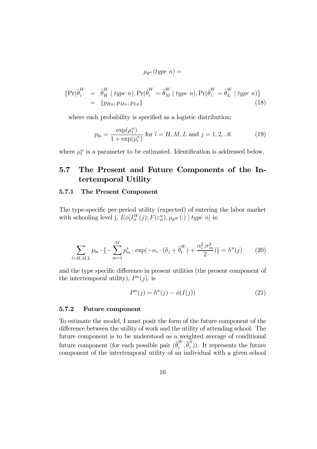$\mu_{\theta^w}(type\ n) =$ 

$$
\begin{aligned} \{ \Pr(\tilde{\theta}_i^W \ = \ \tilde{\theta}_H^W \mid type \ n), \Pr(\tilde{\theta}_i^W = \tilde{\theta}_M^W \mid type \ n), \Pr(\tilde{\theta}_i^W = \tilde{\theta}_L^W \mid type \ n) \} \\ &= \ \{ p_{Hn}, p_{Mn}, p_{Ln} \} \end{aligned} \tag{18}
$$

where each probability is specified as a logistic distribution;

$$
p_{\ln} = \frac{\exp(\mu_l^n)}{1 + \exp(\mu_l^n)} \text{ for } l = H, M, L \text{ and } j = 1, 2, ... 6
$$
 (19)

where  $\mu_l^n$  is a parameter to be estimated. Identification is addressed below.

## 5.7 The Present and Future Components of the Intertemporal Utility

#### 5.7.1 The Present Component

The type-specific per-period utility (expected) of entering the labor market with schooling level j,  $E\phi[I_{it}^W(j); F(\varepsilon_{it}^w), \mu_{\theta^W}(.)]$  type n] is:

$$
\sum_{l=H,M,L} p_{\ln} \cdot \left\{ - \sum_{m=1}^{M} p_m^* \cdot \exp(-\alpha_i \cdot (\delta_j + \tilde{\theta}_l^W) + \frac{\alpha_i^2 \cdot \sigma_m^2}{2}) \right\} = h^n(j) \tag{20}
$$

and the type specific difference in present utilities (the present component of the intertemporal utility),  $P<sup>n</sup>(j)$ , is

$$
P^{n}(j) = h^{n}(j) - \phi(I(j))
$$
\n(21)

#### 5.7.2 Future component

To estimate the model, I must posit the form of the future component of the difference between the utility of work and the utility of attending school. The future component is to be understood as a weighted average of conditional future component (for each possible pair  $(\tilde{\theta}_i^W, \tilde{\theta}_i^S)$ ). It represents the future component of the intertemporal utility of an individual with a given school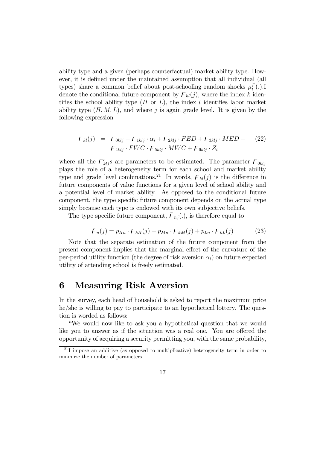ability type and a given (perhaps counterfactual) market ability type. However, it is defined under the maintained assumption that all individual (all types) share a common belief about post-schooling random shocks  $\mu_t^F(.)$ . denote the conditional future component by  $F_{kl}(j)$ , where the index k identifies the school ability type  $(H \text{ or } L)$ , the index l identifies labor market ability type  $(H, M, L)$ , and where j is again grade level. It is given by the following expression

$$
F_{kl}(j) = F_{0klj} + F_{1klj} \cdot \alpha_i + F_{2klj} \cdot FED + F_{3klj} \cdot MED + (22)
$$
  

$$
F_{4klj} \cdot FWC \cdot F_{5klj} \cdot MWC + F_{6klj} \cdot Z_i
$$

where all the  $F'_{klj}s$  are parameters to be estimated. The parameter  $F_{0klj}$ plays the role of a heterogeneity term for each school and market ability type and grade level combinations.<sup>21</sup> In words,  $F_{kl}(j)$  is the difference in future components of value functions for a given level of school ability and a potential level of market ability. As opposed to the conditional future component, the type specific future component depends on the actual type simply because each type is endowed with its own subjective beliefs.

The type specific future component,  $\bar{F}_{nj}(.)$ , is therefore equal to

$$
\bar{F}_n(j) = p_{Hn} \cdot F_{kH}(j) + p_{Mn} \cdot F_{kM}(j) + p_{Ln} \cdot F_{kL}(j)
$$
 (23)

Note that the separate estimation of the future component from the present component implies that the marginal effect of the curvature of the per-period utility function (the degree of risk aversion  $\alpha_i$ ) on future expected utility of attending school is freely estimated.

## 6 Measuring Risk Aversion

In the survey, each head of household is asked to report the maximum price he/she is willing to pay to participate to an hypothetical lottery. The question is worded as follows:

"We would now like to ask you a hypothetical question that we would like you to answer as if the situation was a real one. You are offered the opportunity of acquiring a security permitting you, with the same probability,

<sup>&</sup>lt;sup>21</sup>I impose an additive (as opposed to multiplicative) heterogeneity term in order to minimize the number of parameters.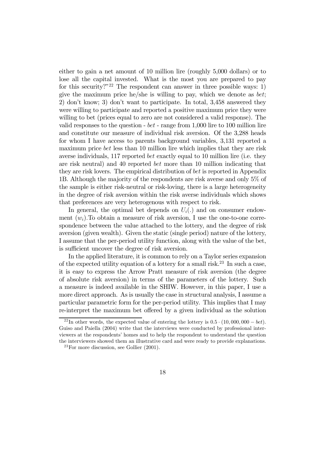either to gain a net amount of 10 million lire (roughly 5,000 dollars) or to lose all the capital invested. What is the most you are prepared to pay for this security?"<sup>22</sup> The respondent can answer in three possible ways: 1) give the maximum price he/she is willing to pay, which we denote as bet; 2) don't know; 3) don't want to participate. In total, 3,458 answered they were willing to participate and reported a positive maximum price they were willing to bet (prices equal to zero are not considered a valid response). The valid responses to the question  $- bet$  - range from 1,000 lire to 100 million lire and constitute our measure of individual risk aversion. Of the 3,288 heads for whom I have access to parents background variables, 3,131 reported a maximum price bet less than 10 million lire which implies that they are risk averse individuals, 117 reported bet exactly equal to 10 million lire (i.e. they are risk neutral) and 40 reported bet more than 10 million indicating that they are risk lovers. The empirical distribution of bet is reported in Appendix 1B. Although the majority of the respondents are risk averse and only 5% of the sample is either risk-neutral or risk-loving, there is a large heterogeneity in the degree of risk aversion within the risk averse individuals which shows that preferences are very heterogenous with respect to risk.

In general, the optimal bet depends on  $U_i(.)$  and on consumer endowment  $(w_i)$ . To obtain a measure of risk aversion, I use the one-to-one correspondence between the value attached to the lottery, and the degree of risk aversion (given wealth). Given the static (single period) nature of the lottery, I assume that the per-period utility function, along with the value of the bet, is sufficient uncover the degree of risk aversion.

In the applied literature, it is common to rely on a Taylor series expansion of the expected utility equation of a lottery for a small risk.<sup>23</sup> In such a case, it is easy to express the Arrow Pratt measure of risk aversion (the degree of absolute risk aversion) in terms of the parameters of the lottery. Such a measure is indeed available in the SHIW. However, in this paper, I use a more direct approach. As is usually the case in structural analysis, I assume a particular parametric form for the per-period utility. This implies that I may re-interpret the maximum bet offered by a given individual as the solution

<sup>&</sup>lt;sup>22</sup>In other words, the expected value of entering the lottery is  $0.5 \cdot (10,000,000 - bet)$ . Guiso and Paiella (2004) write that the interviews were conducted by professional interviewers at the respondents' homes and to help the respondent to understand the question the interviewers showed them an illustrative card and were ready to provide explanations.

 $^{23}$ For more discussion, see Gollier (2001).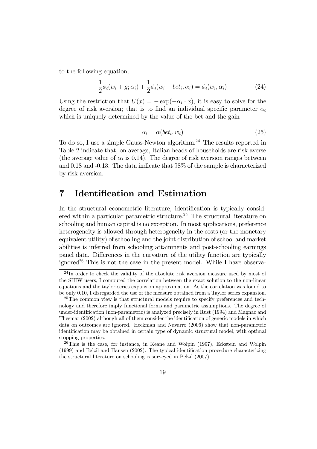to the following equation;

$$
\frac{1}{2}\phi_i(w_i+g;\alpha_i) + \frac{1}{2}\phi_i(w_i-bet_i,\alpha_i) = \phi_i(w_i,\alpha_i)
$$
\n(24)

Using the restriction that  $U(x) = -\exp(-\alpha_i \cdot x)$ , it is easy to solve for the degree of risk aversion; that is to find an individual specific parameter  $\alpha_i$ which is uniquely determined by the value of the bet and the gain

$$
\alpha_i = \alpha(bet_i, w_i) \tag{25}
$$

To do so, I use a simple Gauss-Newton algorithm.<sup>24</sup> The results reported in Table 2 indicate that, on average, Italian heads of households are risk averse (the average value of  $\alpha_i$  is 0.14). The degree of risk aversion ranges between and 0.18 and -0.13. The data indicate that 98% of the sample is characterized by risk aversion.

## 7 Identification and Estimation

In the structural econometric literature, identification is typically considered within a particular parametric structure.25 The structural literature on schooling and human capital is no exception. In most applications, preference heterogeneity is allowed through heterogeneity in the costs (or the monetary equivalent utility) of schooling and the joint distribution of school and market abilities is inferred from schooling attainments and post-schooling earnings panel data. Differences in the curvature of the utility function are typically ignored<sup>26</sup> This is not the case in the present model. While I have observa-

 $^{24}$ In order to check the validity of the absolute risk aversion measure used by most of the SHIW users, I computed the correlation between the exact solution to the non-linear equations and the taylor-series expansion approximation. As the correlation was found to be only 0.10, I disregarded the use of the measure obtained from a Taylor series expansion.

<sup>25</sup>The common view is that structural models require to specify preferences and technology and therefore imply functional forms and parametric assumptions. The degree of under-identification (non-parametric) is analyzed precisely in Rust (1994) and Magnac and Thesmar (2002) although all of them consider the identification of generic models in which data on outcomes are ignored. Heckman and Navarro (2006) show that non-parametric identification may be obtained in certain type of dynamic structural model, with optimal stopping properties.

 $^{26}$ This is the case, for instance, in Keane and Wolpin (1997), Eckstein and Wolpin (1999) and Belzil and Hansen (2002). The typical identification procedure characterizing the structural literature on schooling is surveyed in Belzil (2007).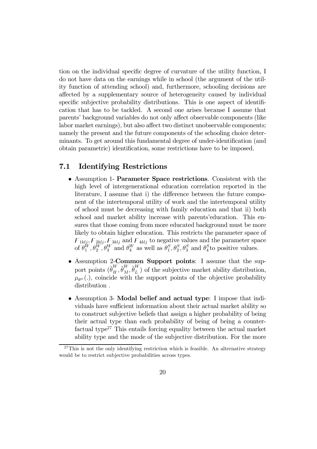tion on the individual specific degree of curvature of the utility function, I do not have data on the earnings while in school (the argument of the utility function of attending school) and, furthermore, schooling decisions are affected by a supplementary source of heterogeneity caused by individual specific subjective probability distributions. This is one aspect of identification that has to be tackled. A second one arises because I assume that parents' background variables do not only affect observable components (like labor market earnings), but also affect two distinct unobservable components; namely the present and the future components of the schooling choice determinants. To get around this fundamental degree of under-identification (and obtain parametric) identification, some restrictions have to be imposed.

## 7.1 Identifying Restrictions

- Assumption 1- Parameter Space restrictions. Consistent with the high level of intergenerational education correlation reported in the literature, I assume that i) the difference between the future component of the intertemporal utility of work and the intertemporal utility of school must be decreasing with family education and that ii) both school and market ability increase with parents'education. This ensures that those coming from more educated background must be more likely to obtain higher education. This restricts the parameter space of  $F_{1klj}$ ,  $F_{2klj}$ ,  $F_{3klj}$  and  $F_{4klj}$  to negative values and the parameter space of  $\theta_1^W, \theta_2^W, \theta_3^W$  and  $\theta_4^W$  as well as  $\theta_1^S, \theta_2^S, \theta_3^S$  and  $\theta_4^S$  to positive values.
- Assumption 2-Common Support points: I assume that the support points  $(\tilde{\theta}_{H}^{W}, \tilde{\theta}_{M}^{W}, \tilde{\theta}_{L}^{W})$  of the subjective market ability distribution,  $\mu_{\theta^w}$ ., coincide with the support points of the objective probability distribution .
- Assumption 3- Modal belief and actual type: I impose that individuals have sufficient information about their actual market ability so to construct subjective beliefs that assign a higher probability of being their actual type than each probability of being of being a counterfactual type<sup>27</sup> This entails forcing equality between the actual market ability type and the mode of the subjective distribution. For the more

 $27$ This is not the only identifying restriction which is feasible. An alternative strategy would be to restrict subjective probabilities across types.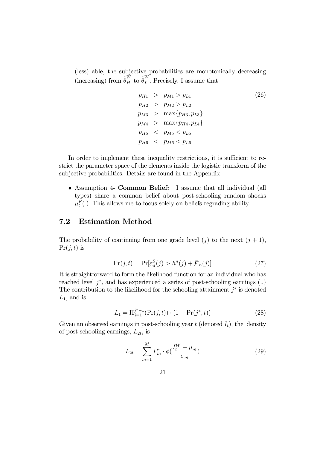(less) able, the subjective probabilities are monotonically decreasing (increasing) from  $\tilde{\theta}_{H}^{W}$  to  $\tilde{\theta}_{L}^{W}$ . Precisely, I assume that

$$
p_{H1} > p_{M1} > p_{L1}
$$
\n
$$
p_{H2} > p_{M2} > p_{L2}
$$
\n
$$
p_{M3} > \max\{p_{H3}, p_{L3}\}
$$
\n
$$
p_{M4} > \max\{p_{H4}, p_{L4}\}
$$
\n
$$
p_{H5} < p_{M5} < p_{L5}
$$
\n
$$
p_{H6} < p_{M6} < p_{L6}
$$

In order to implement these inequality restrictions, it is sufficient to restrict the parameter space of the elements inside the logistic transform of the subjective probabilities. Details are found in the Appendix

• Assumption 4- **Common Belief:** I assume that all individual (all types) share a common belief about post-schooling random shocks  $\mu_t^F(.)$ . This allows me to focus solely on beliefs regrading ability.

## 7.2 Estimation Method

The probability of continuing from one grade level  $(j)$  to the next  $(j + 1)$ ,  $Pr(j, t)$  is

$$
\Pr(j, t) = \Pr[\varepsilon_{it}^S(j) > h^n(j) + \bar{F}_n(j)] \tag{27}
$$

It is straightforward to form the likelihood function for an individual who has reached level  $j^*$ , and has experienced a series of post-schooling earnings  $(.)$ The contribution to the likelihood for the schooling attainment  $j^*$  is denoted  $L_1$ , and is

$$
L_1 = \Pi_{j=1}^{j^*-1} (\Pr(j, t)) \cdot (1 - \Pr(j^*, t)) \tag{28}
$$

Given an observed earnings in post-schooling year  $t$  (denoted  $I_t$ ), the density of post-schooling earnings,  $L_{2t}$ , is

$$
L_{2t} = \sum_{m=1}^{M} P_m^* \cdot \phi(\frac{I_t^W - \mu_m}{\sigma_m})
$$
\n(29)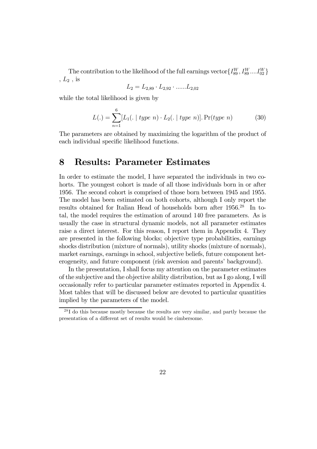The contribution to the likelihood of the full earnings vector  $\{I_{89}^W, I_{89}^W, \ldots I_{02}^W\}$ ,  $L_2$ , is

$$
L_2 = L_{2,89} \cdot L_{2,92} \cdot \dots \cdot L_{2,02}
$$

while the total likelihood is given by

$$
L(.) = \sum_{n=1}^{6} [L_1(. \mid type \; n) \cdot L_2(. \mid type \; n)]. \Pr(type \; n) \tag{30}
$$

The parameters are obtained by maximizing the logarithm of the product of each individual specific likelihood functions.

## 8 Results: Parameter Estimates

In order to estimate the model, I have separated the individuals in two cohorts. The youngest cohort is made of all those individuals born in or after 1956. The second cohort is comprised of those born between 1945 and 1955. The model has been estimated on both cohorts, although I only report the results obtained for Italian Head of households born after 1956.<sup>28</sup> In total, the model requires the estimation of around 140 free parameters. As is usually the case in structural dynamic models, not all parameter estimates raise a direct interest. For this reason, I report them in Appendix 4. They are presented in the following blocks; objective type probabilities, earnings shocks distribution (mixture of normals), utility shocks (mixture of normals), market earnings, earnings in school, subjective beliefs, future component heterogeneity, and future component (risk aversion and parents' background).

In the presentation, I shall focus my attention on the parameter estimates of the subjective and the objective ability distribution, but as I go along, I will occasionally refer to particular parameter estimates reported in Appendix 4. Most tables that will be discussed below are devoted to particular quantities implied by the parameters of the model.

 $^{28}$ I do this because mostly because the results are very similar, and partly because the presentation of a different set of results would be cimbersome.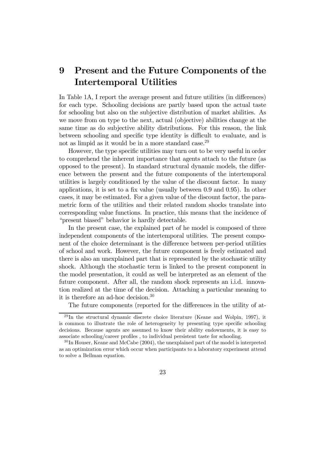# 9 Present and the Future Components of the Intertemporal Utilities

In Table 1A, I report the average present and future utilities (in differences) for each type. Schooling decisions are partly based upon the actual taste for schooling but also on the subjective distribution of market abilities. As we move from on type to the next, actual (objective) abilities change at the same time as do subjective ability distributions. For this reason, the link between schooling and specific type identity is difficult to evaluate, and is not as limpid as it would be in a more standard case.<sup>29</sup>

However, the type specific utilities may turn out to be very useful in order to comprehend the inherent importance that agents attach to the future (as opposed to the present). In standard structural dynamic models, the difference between the present and the future components of the intertemporal utilities is largely conditioned by the value of the discount factor. In many applications, it is set to a fix value (usually between 0.9 and 0.95). In other cases, it may be estimated. For a given value of the discount factor, the parametric form of the utilities and their related random shocks translate into corresponding value functions. In practice, this means that the incidence of "present biased" behavior is hardly detectable.

In the present case, the explained part of he model is composed of three independent components of the intertemporal utilities. The present component of the choice determinant is the difference between per-period utilities of school and work. However, the future component is freely estimated and there is also an unexplained part that is represented by the stochastic utility shock. Although the stochastic term is linked to the present component in the model presentation, it could as well be interpreted as an element of the future component. After all, the random shock represents an i.i.d. innovation realized at the time of the decision. Attaching a particular meaning to it is therefore an ad-hoc decision.30

The future components (reported for the differences in the utility of at-

 $29$ In the structural dynamic discrete choice literature (Keane and Wolpin, 1997), it is common to illustrate the role of heterogeneity by presenting type specific schooling decisions. Because agents are assumed to know their ability endowments, it is easy to associate schooling/career profiles , to individual persistent taste for schooling.

<sup>&</sup>lt;sup>30</sup>In Houser, Keane and McCabe (2004), the unexplained part of the model is interpreted as an optimization error which occur when participants to a laboratory experiment attend to solve a Bellman equation.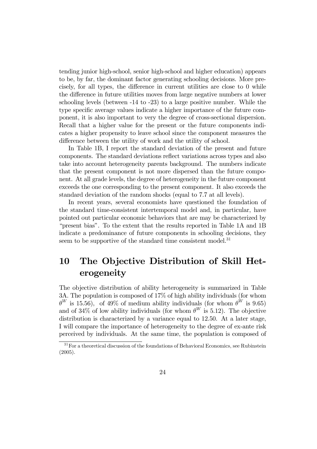tending junior high-school, senior high-school and higher education) appears to be, by far, the dominant factor generating schooling decisions. More precisely, for all types, the difference in current utilities are close to 0 while the difference in future utilities moves from large negative numbers at lower schooling levels (between -14 to -23) to a large positive number. While the type specific average values indicate a higher importance of the future component, it is also important to very the degree of cross-sectional dispersion. Recall that a higher value for the present or the future components indicates a higher propensity to leave school since the component measures the difference between the utility of work and the utility of school.

In Table 1B, I report the standard deviation of the present and future components. The standard deviations reflect variations across types and also take into account heterogeneity parents background. The numbers indicate that the present component is not more dispersed than the future component. At all grade levels, the degree of heterogeneity in the future component exceeds the one corresponding to the present component. It also exceeds the standard deviation of the random shocks (equal to 7.7 at all levels).

In recent years, several economists have questioned the foundation of the standard time-consistent intertemporal model and, in particular, have pointed out particular economic behaviors that are may be characterized by "present bias". To the extent that the results reported in Table 1A and 1B indicate a predominance of future components in schooling decisions, they seem to be supportive of the standard time consistent model.<sup>31</sup>

# 10 The Objective Distribution of Skill Heterogeneity

The objective distribution of ability heterogeneity is summarized in Table 3A. The population is composed of 17% of high ability individuals (for whom  $\theta^W$  is 15.56), of 49% of medium ability individuals (for whom  $\theta^W$  is 9.65) and of 34% of low ability individuals (for whom  $\theta^{W}$  is 5.12). The objective distribution is characterized by a variance equal to 12.50. At a later stage, I will compare the importance of heterogeneity to the degree of ex-ante risk perceived by individuals. At the same time, the population is composed of

 $31$  For a theoretical discussion of the foundations of Behavioral Economics, see Rubinstein (2005).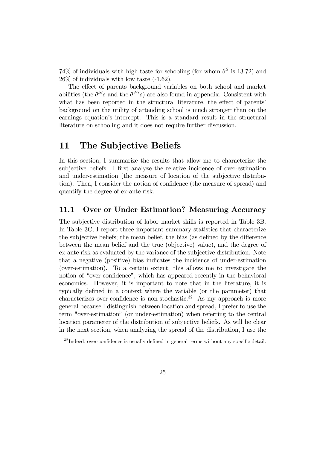74% of individuals with high taste for schooling (for whom  $\theta^S$  is 13.72) and 26% of individuals with low taste (-1.62).

The effect of parents background variables on both school and market abilities (the  $\theta^{S}$ 's and the  $\theta^{W'}$ s) are also found in appendix. Consistent with what has been reported in the structural literature, the effect of parents' background on the utility of attending school is much stronger than on the earnings equation's intercept. This is a standard result in the structural literature on schooling and it does not require further discussion.

## 11 The Subjective Beliefs

In this section, I summarize the results that allow me to characterize the subjective beliefs. I first analyze the relative incidence of over-estimation and under-estimation (the measure of location of the subjective distribution). Then, I consider the notion of confidence (the measure of spread) and quantify the degree of ex-ante risk.

## 11.1 Over or Under Estimation? Measuring Accuracy

The subjective distribution of labor market skills is reported in Table 3B. In Table 3C, I report three important summary statistics that characterize the subjective beliefs; the mean belief, the bias (as defined by the difference between the mean belief and the true (objective) value), and the degree of ex-ante risk as evaluated by the variance of the subjective distribution. Note that a negative (positive) bias indicates the incidence of under-estimation (over-estimation). To a certain extent, this allows me to investigate the notion of "over-confidence", which has appeared recently in the behavioral economics. However, it is important to note that in the literature, it is typically defined in a context where the variable (or the parameter) that characterizes over-confidence is non-stochastic.<sup>32</sup> As my approach is more general because I distinguish between location and spread, I prefer to use the term "over-estimation" (or under-estimation) when referring to the central location parameter of the distribution of subjective beliefs. As will be clear in the next section, when analyzing the spread of the distribution, I use the

<sup>&</sup>lt;sup>32</sup> Indeed, over-confidence is usually defined in general terms without any specific detail.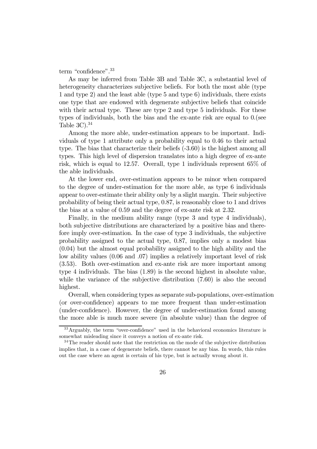term "confidence".<sup>33</sup>

As may be inferred from Table 3B and Table 3C, a substantial level of heterogeneity characterizes subjective beliefs. For both the most able (type 1 and type 2) and the least able (type 5 and type 6) individuals, there exists one type that are endowed with degenerate subjective beliefs that coincide with their actual type. These are type 2 and type 5 individuals. For these types of individuals, both the bias and the ex-ante risk are equal to 0.(see Table  $3C$ ).  $34$ 

Among the more able, under-estimation appears to be important. Individuals of type 1 attribute only a probability equal to 0.46 to their actual type. The bias that characterize their beliefs (-3.60) is the highest among all types. This high level of dispersion translates into a high degree of ex-ante risk, which is equal to 12.57. Overall, type 1 individuals represent 65% of the able individuals.

At the lower end, over-estimation appears to be minor when compared to the degree of under-estimation for the more able, as type 6 individuals appear to over-estimate their ability only by a slight margin. Their subjective probability of being their actual type, 0.87, is reasonably close to 1 and drives the bias at a value of 0.59 and the degree of ex-ante risk at 2.32.

Finally, in the medium ability range (type 3 and type 4 individuals), both subjective distributions are characterized by a positive bias and therefore imply over-estimation. In the case of type 3 individuals, the subjective probability assigned to the actual type, 0.87, implies only a modest bias (0.04) but the almost equal probability assigned to the high ability and the low ability values (0.06 and .07) implies a relatively important level of risk (3.53). Both over-estimation and ex-ante risk are more important among type 4 individuals. The bias (1.89) is the second highest in absolute value, while the variance of the subjective distribution (7.60) is also the second highest.

Overall, when considering types as separate sub-populations, over-estimation (or over-confidence) appears to me more frequent than under-estimation (under-confidence). However, the degree of under-estimation found among the more able is much more severe (in absolute value) than the degree of

<sup>33</sup>Arguably, the term "over-confidence" used in the behavioral economics literature is somewhat misleading since it conveys a notion of ex-ante risk.

<sup>&</sup>lt;sup>34</sup>The reader should note that the restriction on the mode of the subjective distribution implies that, in a case of degenerate beliefs, there cannot be any bias. In words, this rules out the case where an agent is certain of his type, but is actually wrong about it.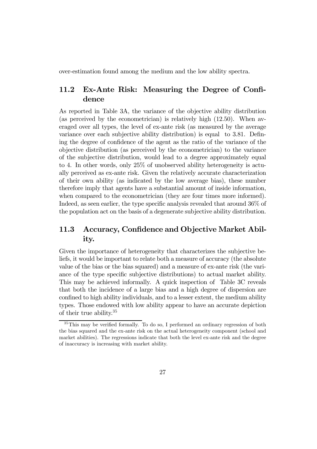over-estimation found among the medium and the low ability spectra.

## 11.2 Ex-Ante Risk: Measuring the Degree of Confidence

As reported in Table 3A, the variance of the objective ability distribution (as perceived by the econometrician) is relatively high (12.50). When averaged over all types, the level of ex-ante risk (as measured by the average variance over each subjective ability distribution) is equal to 3.81. Defining the degree of confidence of the agent as the ratio of the variance of the objective distribution (as perceived by the econometrician) to the variance of the subjective distribution, would lead to a degree approximately equal to 4. In other words, only 25% of unobserved ability heterogeneity is actually perceived as ex-ante risk. Given the relatively accurate characterization of their own ability (as indicated by the low average bias), these number therefore imply that agents have a substantial amount of inside information, when compared to the econometrician (they are four times more informed). Indeed, as seen earlier, the type specific analysis revealed that around 36% of the population act on the basis of a degenerate subjective ability distribution.

## 11.3 Accuracy, Confidence and Objective Market Ability.

Given the importance of heterogeneity that characterizes the subjective beliefs, it would be important to relate both a measure of accuracy (the absolute value of the bias or the bias squared) and a measure of ex-ante risk (the variance of the type specific subjective distributions) to actual market ability. This may be achieved informally. A quick inspection of Table 3C reveals that both the incidence of a large bias and a high degree of dispersion are confined to high ability individuals, and to a lesser extent, the medium ability types. Those endowed with low ability appear to have an accurate depiction of their true ability.35

<sup>&</sup>lt;sup>35</sup>This may be verified formally. To do so, I performed an ordinary regression of both the bias squared and the ex-ante risk on the actual heterogeneity component (school and market abilities). The regressions indicate that both the level ex-ante risk and the degree of inaccuracy is increasing with market ability.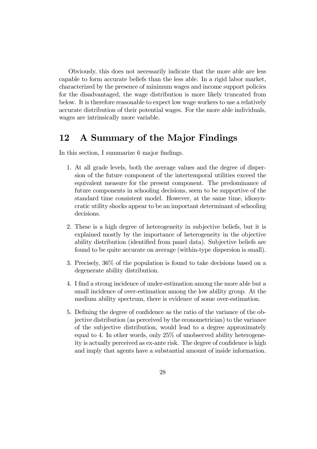Obviously, this does not necessarily indicate that the more able are less capable to form accurate beliefs than the less able. In a rigid labor market, characterized by the presence of minimum wages and income support policies for the disadvantaged, the wage distribution is more likely truncated from below. It is therefore reasonable to expect low wage workers to use a relatively accurate distribution of their potential wages. For the more able individuals, wages are intrinsically more variable.

## 12 A Summary of the Major Findings

In this section, I summarize 6 major findings.

- 1. At all grade levels, both the average values and the degree of dispersion of the future component of the intertemporal utilities exceed the equivalent measure for the present component. The predominance of future components in schooling decisions, seem to be supportive of the standard time consistent model. However, at the same time, idiosyncratic utility shocks appear to be an important determinant of schooling decisions.
- 2. These is a high degree of heterogeneity in subjective beliefs, but it is explained mostly by the importance of heterogeneity in the objective ability distribution (identified from panel data). Subjective beliefs are found to be quite accurate on average (within-type dispersion is small).
- 3. Precisely, 36% of the population is found to take decisions based on a degenerate ability distribution.
- 4. I find a strong incidence of under-estimation among the more able but a small incidence of over-estimation among the low ability group. At the medium ability spectrum, there is evidence of some over-estimation.
- 5. Defining the degree of confidence as the ratio of the variance of the objective distribution (as perceived by the econometrician) to the variance of the subjective distribution, would lead to a degree approximately equal to 4. In other words, only 25% of unobserved ability heterogeneity is actually perceived as ex-ante risk. The degree of confidence is high and imply that agents have a substantial amount of inside information.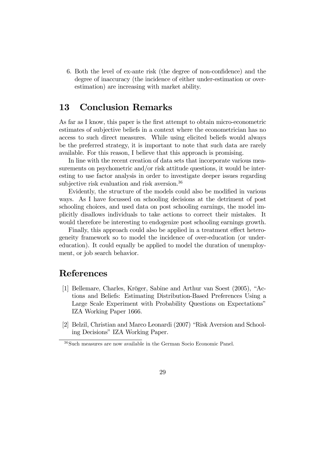6. Both the level of ex-ante risk (the degree of non-confidence) and the degree of inaccuracy (the incidence of either under-estimation or overestimation) are increasing with market ability.

## 13 Conclusion Remarks

As far as I know, this paper is the first attempt to obtain micro-econometric estimates of subjective beliefs in a context where the econometrician has no access to such direct measures. While using elicited beliefs would always be the preferred strategy, it is important to note that such data are rarely available. For this reason, I believe that this approach is promising.

In line with the recent creation of data sets that incorporate various measurements on psychometric and/or risk attitude questions, it would be interesting to use factor analysis in order to investigate deeper issues regarding subjective risk evaluation and risk aversion.<sup>36</sup>

Evidently, the structure of the models could also be modified in various ways. As I have focussed on schooling decisions at the detriment of post schooling choices, and used data on post schooling earnings, the model implicitly disallows individuals to take actions to correct their mistakes. It would therefore be interesting to endogenize post schooling earnings growth.

Finally, this approach could also be applied in a treatment effect heterogeneity framework so to model the incidence of over-education (or undereducation). It could equally be applied to model the duration of unemployment, or job search behavior.

## References

- [1] Bellemare, Charles, Kröger, Sabine and Arthur van Soest (2005), "Actions and Beliefs: Estimating Distribution-Based Preferences Using a Large Scale Experiment with Probability Questions on Expectations" IZA Working Paper 1666.
- [2] Belzil, Christian and Marco Leonardi (2007) "Risk Aversion and Schooling Decisions" IZA Working Paper.

<sup>36</sup>Such measures are now available in the German Socio Economic Panel.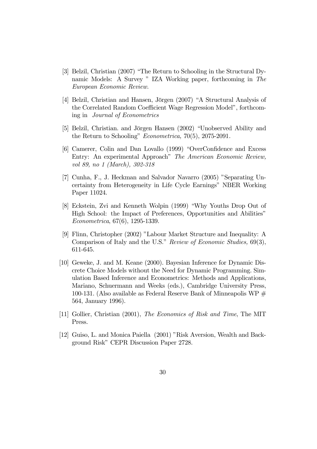- [3] Belzil, Christian (2007) "The Return to Schooling in the Structural Dynamic Models: A Survey " IZA Working paper, forthcoming in The European Economic Review.
- [4] Belzil, Christian and Hansen, Jörgen (2007) "A Structural Analysis of the Correlated Random Coefficient Wage Regression Model", forthcoming in Journal of Econometrics
- [5] Belzil, Christian. and Jörgen Hansen (2002) "Unobserved Ability and the Return to Schooling" Econometrica, 70(5), 2075-2091.
- [6] Camerer, Colin and Dan Lovallo (1999) "OverConfidence and Excess Entry: An experimental Approach" The American Economic Review, vol 89, no 1 (March), 302-318
- [7] Cunha, F., J. Heckman and Salvador Navarro (2005) "Separating Uncertainty from Heterogeneity in Life Cycle Earnings" NBER Working Paper 11024.
- [8] Eckstein, Zvi and Kenneth Wolpin (1999) "Why Youths Drop Out of High School: the Impact of Preferences, Opportunities and Abilities" Econometrica, 67(6), 1295-1339.
- [9] Flinn, Christopher (2002) "Labour Market Structure and Inequality: A Comparison of Italy and the U.S." Review of Economic Studies, 69(3), 611-645.
- [10] Geweke, J. and M. Keane (2000). Bayesian Inference for Dynamic Discrete Choice Models without the Need for Dynamic Programming. Simulation Based Inference and Econometrics: Methods and Applications, Mariano, Schuermann and Weeks (eds.), Cambridge University Press, 100-131. (Also available as Federal Reserve Bank of Minneapolis WP  $#$ 564, January 1996).
- [11] Gollier, Christian (2001), The Economics of Risk and Time, The MIT Press.
- [12] Guiso, L. and Monica Paiella (2001) "Risk Aversion, Wealth and Background Risk" CEPR Discussion Paper 2728.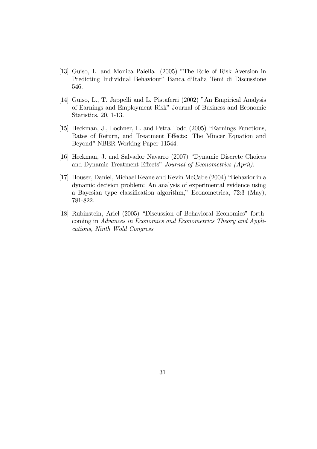- [13] Guiso, L. and Monica Paiella (2005) "The Role of Risk Aversion in Predicting Individual Behaviour" Banca d'Italia Temi di Discussione 546.
- [14] Guiso, L., T. Jappelli and L. Pistaferri (2002) "An Empirical Analysis of Earnings and Employment Risk" Journal of Business and Economic Statistics, 20, 1-13.
- [15] Heckman, J., Lochner, L. and Petra Todd (2005) "Earnings Functions, Rates of Return, and Treatment Effects: The Mincer Equation and Beyond" NBER Working Paper 11544.
- [16] Heckman, J. and Salvador Navarro (2007) "Dynamic Discrete Choices and Dynamic Treatment Effects" Journal of Econometrics (April).
- [17] Houser, Daniel, Michael Keane and Kevin McCabe (2004) "Behavior in a dynamic decision problem: An analysis of experimental evidence using a Bayesian type classification algorithm," Econometrica, 72:3 (May), 781-822.
- [18] Rubinstein, Ariel (2005) "Discussion of Behavioral Economics" forthcoming in Advances in Economics and Econometrics Theory and Applications, Ninth Wold Congress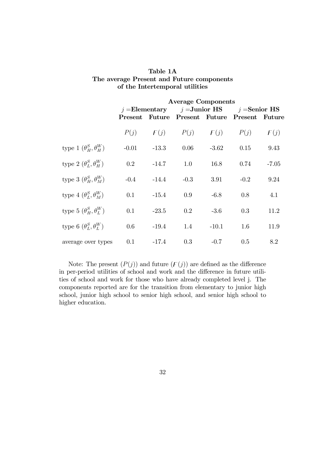#### Table 1A The average Present and Future components of the Intertemporal utilities

|                                           | <b>Average Components</b> |         |        |         |                                                  |         |  |
|-------------------------------------------|---------------------------|---------|--------|---------|--------------------------------------------------|---------|--|
|                                           |                           |         |        |         | $j =$ Elementary $j =$ Junior HS $j =$ Senior HS |         |  |
|                                           |                           |         |        |         | Present Future Present Future Present Future     |         |  |
|                                           | P(j)                      | F(j)    | P(j)   | F(j)    | P(j)                                             | F(j)    |  |
| type 1 $(\theta_H^S, \theta_H^W)$         | $-0.01$                   | $-13.3$ | 0.06   | $-3.62$ | 0.15                                             | 9.43    |  |
| type 2 $(\theta_L^S, \theta_H^W)$         | $0.2\,$                   | $-14.7$ | 1.0    | 16.8    | 0.74                                             | $-7.05$ |  |
| type 3 $(\theta_{H}^{S}, \theta_{M}^{W})$ | $-0.4$                    | $-14.4$ | $-0.3$ | 3.91    | $-0.2$                                           | 9.24    |  |
| type 4 $(\theta_L^S, \theta_M^W)$         | 0.1                       | $-15.4$ | 0.9    | $-6.8$  | 0.8                                              | 4.1     |  |
| type 5 $(\theta_{H}^{S}, \theta_{L}^{W})$ | 0.1                       | $-23.5$ | 0.2    | $-3.6$  | 0.3                                              | 11.2    |  |
| type 6 $(\theta_L^S, \theta_L^W)$         | 0.6                       | $-19.4$ | 1.4    | $-10.1$ | 1.6                                              | 11.9    |  |
| average over types                        | 0.1                       | $-17.4$ | 0.3    | $-0.7$  | 0.5                                              | 8.2     |  |

Note: The present  $(P(j))$  and future  $(F(j))$  are defined as the difference in per-period utilities of school and work and the difference in future utilities of school and work for those who have already completed level j. The components reported are for the transition from elementary to junior high school, junior high school to senior high school, and senior high school to higher education.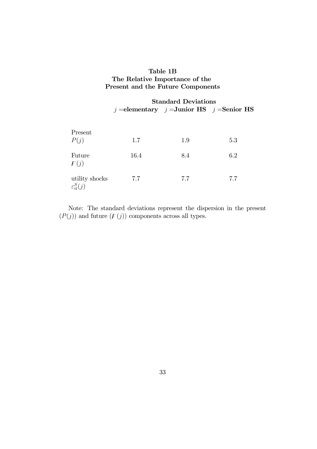## Table 1B The Relative Importance of the Present and the Future Components

Standard Deviations  $j =$ elementary  $j =$ Junior HS  $j =$ Senior HS

| Present                                   |      |     |     |
|-------------------------------------------|------|-----|-----|
| P(j)                                      | 1.7  | 1.9 | 5.3 |
| Future<br>F(j)                            | 16.4 | 8.4 | 6.2 |
| utility shocks<br>$\varepsilon_{it}^S(j)$ | 7.7  | 7.7 | 7.7 |

Note: The standard deviations represent the dispersion in the present  $(P(j))$  and future  $(F(j))$  components across all types.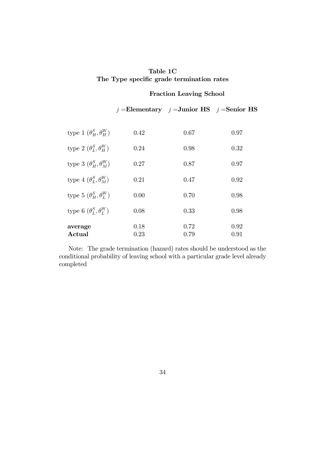## Table 1C The Type specific grade termination rates

## Fraction Leaving School

 $j =$ Elementary  $j =$ Junior HS  $j =$ Senior HS

| average<br>Actual                 | 0.18<br>0.23 | 0.72<br>0.79 | 0.92<br>0.91 |
|-----------------------------------|--------------|--------------|--------------|
| type 6 $(\theta_L^S, \theta_L^W)$ | 0.08         | 0.33         | 0.98         |
| type 5 $(\theta_H^S, \theta_L^W)$ | 0.00         | 0.70         | 0.98         |
| type 4 $(\theta_L^S, \theta_M^W)$ | 0.21         | 0.47         | 0.92         |
| type 3 $(\theta_H^S, \theta_M^W)$ | 0.27         | 0.87         | 0.97         |
| type 2 $(\theta_L^S, \theta_H^W)$ | 0.24         | 0.98         | 0.32         |
| type 1 $(\theta_H^S, \theta_H^W)$ | 0.42         | 0.67         | 0.97         |

Note: The grade termination (hazard) rates should be understood as the conditional probability of leaving school with a particular grade level already completed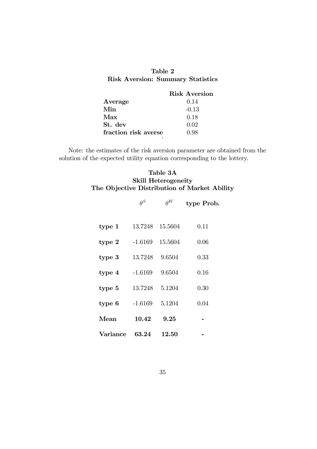## Table 2 Risk Aversion: Summary Statistics

|                      | <b>Risk Aversion</b> |
|----------------------|----------------------|
| Average              | 0.14                 |
| Min                  | $-0.13$              |
| Max                  | 0.18                 |
| St. dev              | 0.02                 |
| fraction risk averse | 0.98                 |
| ٠                    |                      |

Note: the estimates of the risk aversion parameter are obtained from the solution of the expected utility equation corresponding to the lottery.

## Table 3A Skill Heterogeneity The Objective Distribution of Market Ability

|          | $\theta^{S}$ | $\theta^W$ | type Prob. |
|----------|--------------|------------|------------|
| type 1   | 13.7248      | 15.5604    | 0.11       |
| type 2   | $-1.6169$    | 15.5604    | 0.06       |
| type 3   | 13.7248      | 9.6504     | 0.33       |
| type 4   | $-1.6169$    | 9.6504     | 0.16       |
| type 5   | 13.7248      | 5.1204     | 0.30       |
| type 6   | $-1.6169$    | 5.1204     | 0.04       |
| Mean     | 10.42        | 9.25       |            |
| Variance | 63.24        | 12.50      |            |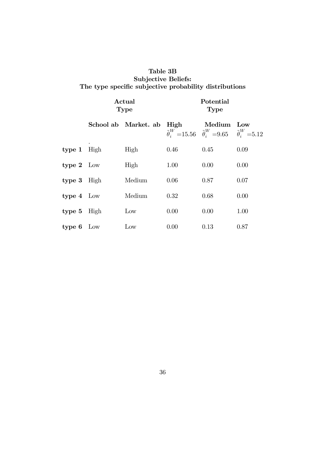## Table 3B Subjective Beliefs: The type specific subjective probability distributions

|               | Actual<br><b>Type</b> |                      | Potential<br><b>Type</b> |                                                                                                                        |      |
|---------------|-----------------------|----------------------|--------------------------|------------------------------------------------------------------------------------------------------------------------|------|
|               |                       | School ab Market. ab | High                     | Medium Low<br>$\tilde{\theta}_{i}^{W} = 15.56 \quad \tilde{\theta}_{i}^{W} = 9.65 \quad \tilde{\theta}_{i}^{W} = 5.12$ |      |
| type $1$ High |                       | High                 | 0.46                     | 0.45                                                                                                                   | 0.09 |
| type $2$ Low  |                       | High                 | 1.00                     | 0.00                                                                                                                   | 0.00 |
| type $3$ High |                       | Medium               | 0.06                     | 0.87                                                                                                                   | 0.07 |
| type $4$ Low  |                       | Medium               | 0.32                     | 0.68                                                                                                                   | 0.00 |
| type $5$ High |                       | $_{\text{Low}}$      | 0.00                     | 0.00                                                                                                                   | 1.00 |
| type $6$ Low  |                       | Low                  | 0.00                     | 0.13                                                                                                                   | 0.87 |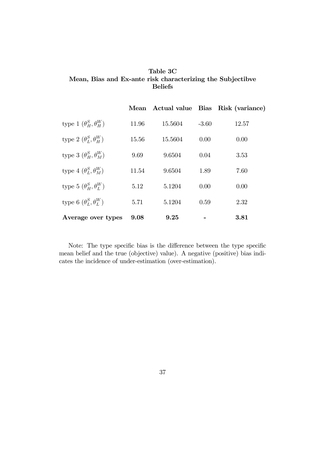|  |  | Table 3C                                                   |  |  |
|--|--|------------------------------------------------------------|--|--|
|  |  | Mean, Bias and Ex-ante risk characterizing the Subjectibve |  |  |
|  |  | <b>Beliefs</b>                                             |  |  |

|                                           |       |         |         | Mean Actual value Bias Risk (variance) |
|-------------------------------------------|-------|---------|---------|----------------------------------------|
| type 1 $(\theta_H^S, \theta_H^W)$         | 11.96 | 15.5604 | $-3.60$ | 12.57                                  |
| type 2 $(\theta_L^S, \theta_H^W)$         | 15.56 | 15.5604 | 0.00    | 0.00                                   |
| type 3 $(\theta_{H}^{S}, \theta_{M}^{W})$ | 9.69  | 9.6504  | 0.04    | 3.53                                   |
| type 4 $(\theta_L^S, \theta_M^W)$         | 11.54 | 9.6504  | 1.89    | 7.60                                   |
| type 5 $(\theta_H^S, \theta_H^W)$         | 5.12  | 5.1204  | 0.00    | 0.00                                   |
| type 6 $(\theta_L^S, \theta_L^W)$         | 5.71  | 5.1204  | 0.59    | 2.32                                   |
| Average over types                        | 9.08  | 9.25    |         | 3.81                                   |

Note: The type specific bias is the difference between the type specific mean belief and the true (objective) value). A negative (positive) bias indicates the incidence of under-estimation (over-estimation).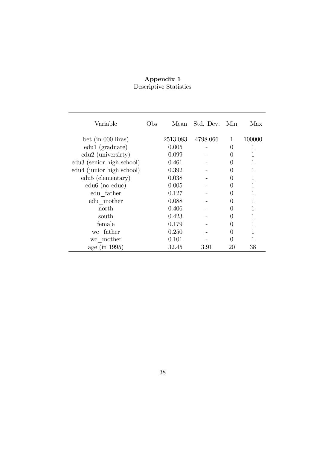| Variable                      | Obs | Mean     | Std. Dev. | Min              | Max          |
|-------------------------------|-----|----------|-----------|------------------|--------------|
| bet (in $000$ liras)          |     | 2513.083 | 4798.066  | $\mathbf{1}$     | 100000       |
| edu1 (graduate)               |     | 0.005    |           | $\mathbf{0}$     |              |
| edu2 (universirty)            |     | 0.099    |           | $\left( \right)$ |              |
| edu3 (senior high school)     |     | 0.461    |           | 0                | 1            |
| edu4 (junior high school)     |     | 0.392    |           |                  | 1            |
| edu <sub>5</sub> (elementary) |     | 0.038    |           |                  | 1            |
| $edu6$ (no $educ$ )           |     | 0.005    |           |                  | 1            |
| edu father                    |     | 0.127    |           | 0                | 1            |
| edu mother                    |     | 0.088    |           |                  | $\mathbf{1}$ |
| north                         |     | 0.406    |           |                  |              |
| south                         |     | 0.423    |           |                  |              |
| female                        |     | 0.179    |           |                  |              |
| wc father                     |     | 0.250    |           | 0                | 1            |
| wc mother                     |     | 0.101    |           |                  |              |
| age (in 1995)                 |     | 32.45    | 3.91      | 20               | $38\,$       |

#### Appendix 1 Descriptive Statistics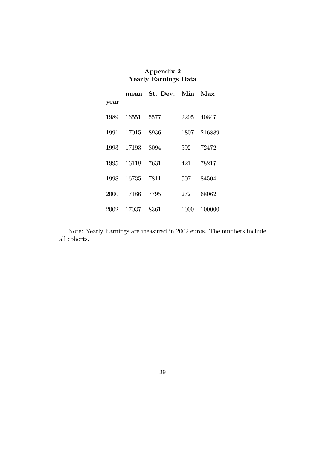| <b>Yearly Earnings Data</b> |            |                       |      |             |  |  |
|-----------------------------|------------|-----------------------|------|-------------|--|--|
| year                        |            | mean St. Dev. Min Max |      |             |  |  |
| 1989                        | 16551 5577 |                       |      | 2205 40847  |  |  |
| 1991                        | 17015      | 8936                  |      | 1807 216889 |  |  |
| 1993                        | 17193      | 8094                  | 592  | 72472       |  |  |
| 1995                        | 16118 7631 |                       | 421  | 78217       |  |  |
| 1998                        | 16735 7811 |                       | 507  | 84504       |  |  |
| 2000                        | 17186 7795 |                       | 272  | 68062       |  |  |
| 2002                        | 17037 8361 |                       | 1000 | 100000      |  |  |

Appendix 2

Note: Yearly Earnings are measured in 2002 euros. The numbers include all cohorts.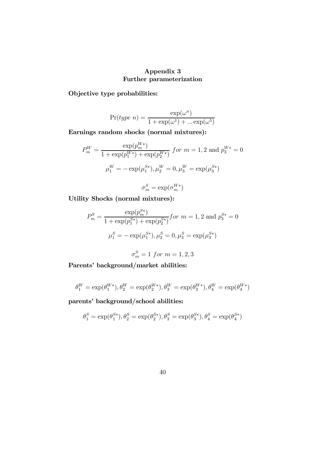## Appendix 3 Further parameterization

Objective type probabilities:

$$
Pr(type\ n) = \frac{\exp(\omega^n)}{1 + \exp(\omega^1) + \dots \exp(\omega^5)}
$$

Earnings random shocks (normal mixtures):

$$
P_m^W = \frac{\exp(p_m^{W*})}{1 + \exp(p_1^{W*}) + \exp(p_2^{W*})} \text{ for } m = 1, 2 \text{ and } p_3^{W*} = 0
$$
  

$$
\mu_1^W = -\exp(\mu_1^{S*}), \mu_2^W = 0, \mu_3^W = \exp(\mu_3^{S*})
$$
  

$$
\sigma_m^S = \exp(\sigma_m^{W*})
$$

Utility Shocks (normal mixtures):

$$
P_m^S = \frac{\exp(p_m^{S*})}{1 + \exp(p_1^{S*}) + \exp(p_2^{S*})} \text{ for } m = 1, 2 \text{ and } p_3^{S*} = 0
$$
\n
$$
\mu_1^S = -\exp(\mu_1^{S*}), \mu_2^S = 0, \mu_3^S = \exp(\mu_3^{S*})
$$

$$
\sigma_m^S = 1 \text{ for } m = 1, 2, 3
$$

Parents' background/market abilities:

$$
\theta_1^W=\exp(\theta_1^{W*}), \theta_2^W=\exp(\theta_2^{W*}), \theta_3^W=\exp(\theta_3^{W*}), \theta_4^W=\exp(\theta_4^{W*})
$$

parents' background/school abilities:

$$
\theta_1^S=\exp(\theta_1^{S*}), \theta_2^S=\exp(\theta_2^{S*}), \theta_3^S=\exp(\theta_3^{S*}), \theta_4^S=\exp(\theta_4^{S*})
$$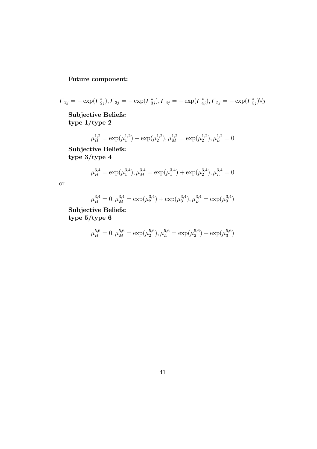## Future component:

$$
F_{2j} = -\exp(\mathbf{F}_{2j}^*), F_{3j} = -\exp(\mathbf{F}_{3j}^*), F_{4j} = -\exp(\mathbf{F}_{4j}^*), F_{5j} = -\exp(\mathbf{F}_{5j}^*) \forall j
$$

Subjective Beliefs: type 1/type 2

$$
\mu_H^{1,2} = \exp(\mu_1^{1,2}) + \exp(\mu_2^{1,2}), \mu_M^{1,2} = \exp(\mu_2^{1,2}), \mu_L^{1,2} = 0
$$

Subjective Beliefs: type 3/type 4

$$
\mu_H^{3,4} = \exp(\mu_1^{3,4}), \mu_M^{3,4} = \exp(\mu_1^{3,4}) + \exp(\mu_2^{3,4}), \mu_L^{3,4} = 0
$$

or

$$
\mu_H^{3,4} = 0, \mu_M^{3,4} = \exp(\mu_2^{3,4}) + \exp(\mu_3^{3,4}), \mu_L^{3,4} = \exp(\mu_3^{3,4})
$$

Subjective Beliefs: type 5/type 6

$$
\mu_H^{5,6} = 0, \mu_M^{5,6} = \exp(\mu_2^{5,6}), \mu_L^{5,6} = \exp(\mu_2^{5,6}) + \exp(\mu_3^{5,6})
$$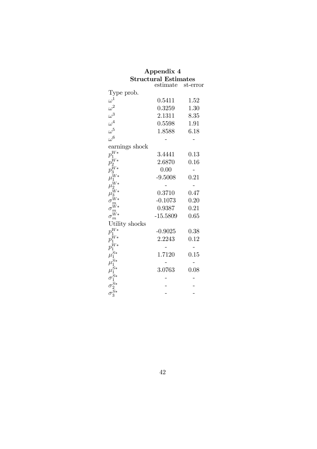| <b>Structural Estimates</b>                                                                                                            |            |          |  |
|----------------------------------------------------------------------------------------------------------------------------------------|------------|----------|--|
|                                                                                                                                        | estimate   | st-error |  |
| Type prob.                                                                                                                             |            |          |  |
| $\omega^1$                                                                                                                             | 0.5411     | 1.52     |  |
|                                                                                                                                        | 0.3259     | 1.30     |  |
| $\frac{\omega^2}{\omega^3}$                                                                                                            | 2.1311     | 8.35     |  |
| $\omega^4$                                                                                                                             | 0.5598     | 1.91     |  |
| $\omega^5$                                                                                                                             | 1.8588     | 6.18     |  |
| $\omega^6$                                                                                                                             |            |          |  |
| earnings shock                                                                                                                         |            |          |  |
| $p_1^{W*}$                                                                                                                             | 3.4441     | 0.13     |  |
| $p_2^{W*}$                                                                                                                             | 2.6870     | 0.16     |  |
| $p_{3}^{\bar{W}*}$                                                                                                                     | 0.00       |          |  |
| $\mu_1^{W*}$                                                                                                                           | $-9.5008$  | 0.21     |  |
| $\mu^{\bar W *}_2$                                                                                                                     |            |          |  |
| $\mu_3^{W*}$                                                                                                                           | 0.3710     | 0.47     |  |
| $\sigma_{m}^{W*}$                                                                                                                      | $-0.1073$  | 0.20     |  |
| $\sigma_m^{W*}$                                                                                                                        | 0.9387     | 0.21     |  |
| $\sigma_m^{W*}$                                                                                                                        | $-15.5809$ | 0.65     |  |
| Utility shocks                                                                                                                         |            |          |  |
| $p_1^{W*}$                                                                                                                             | $-0.9025$  | 0.38     |  |
| $p_1^{W*}$                                                                                                                             | 2.2243     | 0.12     |  |
|                                                                                                                                        |            |          |  |
| $\begin{array}{l} p^{W*}_{1}\\ \mu_1^{S*}_{1}\\ \mu_1^{S*}_{1}\\ \mu_1^{S*}_{1}\\ \sigma_1^{S*}_{2}\\ \sigma_2^{S*}_{3}\\ \end{array}$ | 1.7120     | 0.15     |  |
|                                                                                                                                        |            |          |  |
|                                                                                                                                        | 3.0763     | 0.08     |  |
|                                                                                                                                        |            |          |  |
|                                                                                                                                        |            |          |  |
|                                                                                                                                        |            |          |  |

# Appendix 4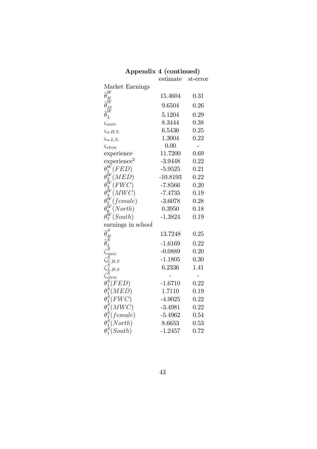| Appendix 4 (continued)                                                                      |            |          |
|---------------------------------------------------------------------------------------------|------------|----------|
|                                                                                             | estimate   | st-error |
| Market Earnings                                                                             |            |          |
|                                                                                             | 15.4604    | 0.31     |
| $\overset{\theta^{\bm{\prime} \bm{\prime}}_{H}}{\widetilde{\theta}_M^W}$                    | 9.6504     | 0.26     |
| $\tilde{\theta}^{\hat{W}}_L$                                                                | 5.1204     | 0.29     |
| $\varsigma_{univ}$                                                                          | 8.3444     | 0.38     |
| $\zeta_{u.H.S.}$                                                                            | 6.5436     | 0.25     |
| $\zeta_{u.L.S.}$                                                                            | 1.3004     | 0.22     |
| $\varsigma_{elem}$                                                                          | 0.00       |          |
| experience                                                                                  | 11.7200    | 0.69     |
| experience <sup>2</sup>                                                                     | $-3.9448$  | 0.22     |
| $\theta_1^W(FED)$                                                                           | $-5.9525$  | 0.21     |
| $\theta_2^{\rm{I\nu}}(MED)$                                                                 | $-10.8193$ | 0.22     |
| $\theta_3^{\rm \tilde W}({FWC})$                                                            | $-7.8566$  | 0.20     |
| $\theta_4^W(MWC)$                                                                           | $-7.4735$  | 0.19     |
|                                                                                             | $-3.6078$  | 0.28     |
| $\overset{\circ}{\theta^W_5} \overset{\circ}{(female)} \theta^W_6 (North)$                  | 0.3950     | 0.18     |
| $\theta_7^W(South)$                                                                         | $-1.3824$  | 0.19     |
| earnings in school                                                                          |            |          |
| ${\widetilde \theta}_H^S$                                                                   | 13.7248    | 0.25     |
|                                                                                             | $-1.6169$  | 0.22     |
|                                                                                             | $-0.0889$  | 0.20     |
|                                                                                             | $-1.1805$  | 0.30     |
| $\begin{array}{l} \zeta_{univ}^S\ \zeta_{U.H.S}^S\ \zeta_{L.H.S}^S\ \zeta_{L}. \end{array}$ | 6.2336     | 1.41     |
|                                                                                             |            |          |
|                                                                                             | $-1.6710$  | 0.22     |
| $\theta_1^S(MED)$                                                                           | 1.7110     | 0.19     |
| $\theta_1^S(FWC)$                                                                           | $-4.9025$  | 0.22     |
|                                                                                             | $-3.4981$  | 0.22     |
| $\overset{\circ}{\theta_1^S}(\overset{\circ}{MWC}) \ \theta_1^S(\textit{female})$           | $-5.4962$  | 0.54     |
| $\theta_1^S(North)$                                                                         | 8.6653     | 0.53     |
| $\theta_1^S(South)$                                                                         | $-1.2457$  | 0.72     |

## Appendix 4 (continued)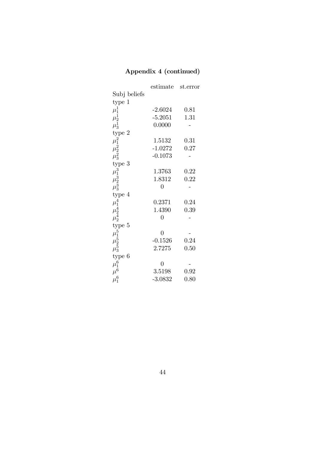# Appendix 4 (continued)

|                                 | estimate st.error |      |
|---------------------------------|-------------------|------|
| Subj beliefs                    |                   |      |
| type 1                          |                   |      |
| $\mu_1^1$                       | $-2.6024$         | 0.81 |
| $\mu_2^1$                       | $-5.2051$         | 1.31 |
| $\mu_3^1$                       | 0.0000            |      |
| type 2                          |                   |      |
|                                 | 1.5132            | 0.31 |
|                                 | $-1.0272$         | 0.27 |
| $\mu_1^2 \ \mu_2^2 \ \mu_3^2$   | $-0.1073$         |      |
| type $\sqrt{3}$                 |                   |      |
|                                 | 1.3763            | 0.22 |
|                                 | 1.8312            | 0.22 |
| $\mu_1^3 \\ \mu_2^3 \\ \mu_3^3$ | $\overline{0}$    |      |
| type 4                          |                   |      |
| $\mu_1^4$                       | 0.2371            | 0.24 |
|                                 | 1.4390            | 0.39 |
| $\mu_2^4 \ \mu_2^4$             | $\overline{0}$    |      |
| type 5                          |                   |      |
| $\mu_1^5$                       | $\overline{0}$    |      |
|                                 | $-0.1526$         | 0.24 |
| $\mu_2^5$<br>$\mu_3^5$          | 2.7275            | 0.50 |
| type 6                          |                   |      |
| $\mu_1^6$                       | $\overline{0}$    |      |
| $\mu^6$                         | 3.5198            | 0.92 |
| $\mu_1^6$                       | $-3.0832$         | 0.80 |
|                                 |                   |      |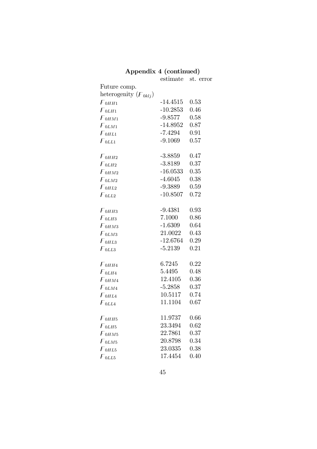## Appendix 4 (continued)

|                           |            | estimate st. error |
|---------------------------|------------|--------------------|
| Future comp.              |            |                    |
| heterogenity $(F_{0klj})$ |            |                    |
| $F_{0HH1}$                | $-14.4515$ | 0.53               |
| ${F}_{0LH1}$              | $-10.2853$ | 0.46               |
| ${F}_{0HM1}$              | $-9.8577$  | 0.58               |
| $F_{0LM1}$                | $-14.8952$ | 0.87               |
| ${F}_{0HL1}$              | $-7.4294$  | 0.91               |
| $F_{0LL1}$                | $-9.1069$  | 0.57               |
|                           |            |                    |
| $F_{0HH2}$                | $-3.8859$  | 0.47               |
| $F_{0LH2}$                | $-3.8189$  | 0.37               |
| $F_{0HM2}$                | $-16.0533$ | 0.35               |
| $F_{0LM2}$                | -4.6045    | 0.38               |
| $F_{0HL2}$                | $-9.3889$  | 0.59               |
| $F_{0LL2}$                | $-10.8507$ | 0.72               |
|                           |            |                    |
| $F_{0HH3}$                | $-9.4381$  | 0.93               |
| $F_{0LH3}$                | 7.1000     | 0.86               |
| ${F}_{0HM3}$              | $-1.6309$  | 0.64               |
| $F_{0LM3}$                | 21.0022    | 0.43               |
| $F_{0HL3}$                | $-12.6764$ | 0.29               |
| $F_{0LL3}$                | $-5.2139$  | 0.21               |
|                           |            |                    |
| ${F}_{0HH4}$              | 6.7245     | 0.22               |
| ${F}_{0LH4}$              | 5.4495     | 0.48               |
| ${F}_{0HM4}$              | 12.4105    | 0.36               |
| $F_{0LM4}$                | $-5.2858$  | 0.37               |
| $F_{0HL4}$                | 10.5117    | 0.74               |
| $F_{0LL4}$                | 11.1104    | 0.67               |
|                           |            |                    |
| $F_{0HH5}$                | 11.9737    | 0.66               |
| ${F}_{0LH5}$              | 23.3494    | 0.62               |
| $F_{0HM5}$                | 22.7861    | 0.37               |
| $F_{0LM5}$                | 20.8798    | 0.34               |
| $F_{0HL5}$                | 23.0335    | 0.38               |
| $F_{0LL5}$                | 17.4454    | 0.40               |